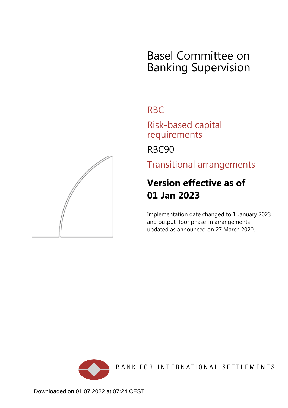## Basel Committee on Banking Supervision

## RBC

Risk-based capital requirements

RBC90

Transitional arrangements

## **Version effective as of 01 Jan 2023**

Implementation date changed to 1 January 2023 and output floor phase-in arrangements updated as announced on 27 March 2020.



BANK FOR INTERNATIONAL SETTLEMENTS

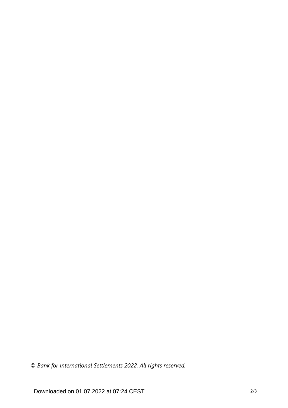*© Bank for International Settlements 2022. All rights reserved.*